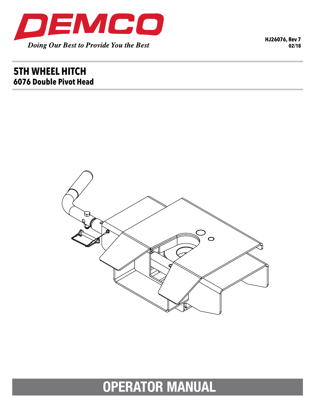

HJ26076, Rev 7  $02/18$ 

## **5TH WHEEL HITCH 6076 Double Pivot Head**



# **OPERATOR MANUAL**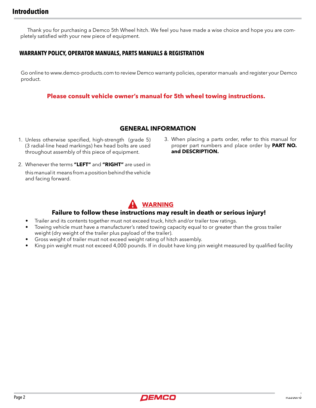Thank you for purchasing a Demco 5th Wheel hitch. We feel you have made a wise choice and hope you are completely satisfied with your new piece of equipment.

#### **WARRANTY POLICY, OPERATOR MANUALS, PARTS MANUALS & REGISTRATION**

Go online to www.demco-products.com to review Demco warranty policies, operator manuals and register your Demco product.

**Please consult vehicle owner's manual for 5th wheel towing instructions.**

#### **GENERAL INFORMATION**

- 1. Unless otherwise specified, high-strength (grade 5) (3 radial-line head markings) hex head bolts are used throughout assembly of this piece of equipment.
- proper part numbers and place order by **PART NO. and DESCRIPTION.**

3. When placing a parts order, refer to this manual for

2. Whenever the terms **"LEFT"** and **"RIGHT"** are used in this manual it means from a position behind the vehicle and facing forward.



#### **Failure to follow these instructions may result in death or serious injury!**

- Trailer and its contents together must not exceed truck, hitch and/or trailer tow ratings.
- Towing vehicle must have a manufacturer's rated towing capacity equal to or greater than the gross trailer weight (dry weight of the trailer plus payload of the trailer).
- Gross weight of trailer must not exceed weight rating of hitch assembly.
- King pin weight must not exceed 4,000 pounds. If in doubt have king pin weight measured by qualified facility

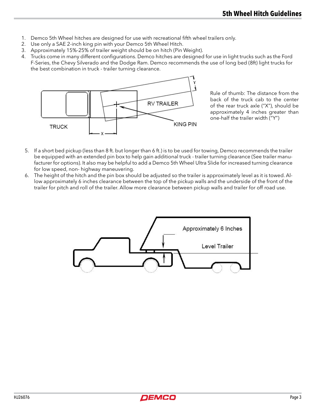- 1. Demco 5th Wheel hitches are designed for use with recreational fifth wheel trailers only.
- 2. Use only a SAE 2-inch king pin with your Demco 5th Wheel Hitch.
- 3. Approximately 15%-25% of trailer weight should be on hitch (Pin Weight).
- 4. Trucks come in many different configurations. Demco hitches are designed for use in light trucks such as the Ford F-Series, the Chevy Silverado and the Dodge Ram. Demco recommends the use of long bed (8ft) light trucks for the best combination in truck - trailer turning clearance.



Rule of thumb: The distance from the back of the truck cab to the center of the rear truck axle ("X"), should be approximately 4 inches greater than one-half the trailer width ("Y")

- 5. If a short bed pickup (less than 8 ft. but longer than 6 ft.) is to be used for towing, Demco recommends the trailer be equipped with an extended pin box to help gain additional truck - trailer turning clearance (See trailer manufacturer for options). It also may be helpful to add a Demco 5th Wheel Ultra Slide for increased turning clearance for low speed, non- highway maneuvering.
- 6. The height of the hitch and the pin box should be adjusted so the trailer is approximately level as it is towed. Allow approximately 6 inches clearance between the top of the pickup walls and the underside of the front of the trailer for pitch and roll of the trailer. Allow more clearance between pickup walls and trailer for off road use.



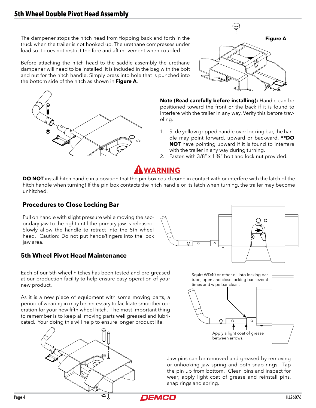The dampener stops the hitch head from flopping back and forth in the truck when the trailer is not hooked up. The urethane compresses under load so it does not restrict the fore and aft movement when coupled.

Before attaching the hitch head to the saddle assembly the urethane dampener will need to be installed. It is included in the bag with the bolt and nut for the hitch handle. Simply press into hole that is punched into the bottom side of the hitch as shown in **Figure A**.





**Note (Read carefully before installing):** Handle can be positioned toward the front or the back if it is found to interfere with the trailer in any way. Verify this before traveling.

- 1. Slide yellow gripped handle over locking bar, the handle may point forward, upward or backward. **\*\*DO NOT** have pointing upward if it is found to interfere with the trailer in any way during turning.
- 2. Fasten with 3/8" x 1 ¾" bolt and lock nut provided.

# **Warning**

**DO NOT** install hitch handle in a position that the pin box could come in contact with or interfere with the latch of the hitch handle when turning! If the pin box contacts the hitch handle or its latch when turning, the trailer may become unhitched.

#### **Procedures to Close Locking Bar**

Pull on handle with slight pressure while moving the secondary jaw to the right until the primary jaw is released. Slowly allow the handle to retract into the 5th wheel head. Caution: Do not put hands/fingers into the lock jaw area.

#### **5th Wheel Pivot Head Maintenance**

Each of our 5th wheel hitches has been tested and pre-greased at our production facility to help ensure easy operation of your new product.

As it is a new piece of equipment with some moving parts, a period of wearing in may be necessary to facilitate smoother operation for your new fifth wheel hitch. The most important thing to remember is to keep all moving parts well greased and lubricated. Your doing this will help to ensure longer product life.







Jaw pins can be removed and greased by removing or unhooking jaw spring and both snap rings. Tap the pin up from bottom. Clean pins and inspect for wear, apply light coat of grease and reinstall pins, snap rings and spring.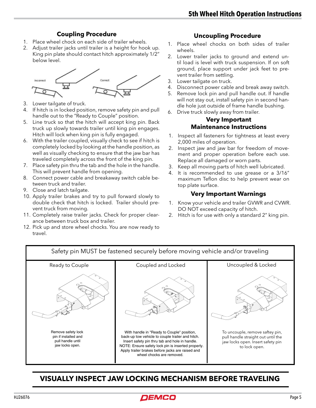- 1. Place wheel chock on each side of trailer wheels.
- 2. Adjust trailer jacks until trailer is a height for hook up. King pin plate should contact hitch approximately 1/2" below level.



- 3. Lower tailgate of truck.
- 4. If hitch is in locked position, remove safety pin and pull handle out to the "Ready to Couple" position.
- 5. Line truck so that the hitch will accept king pin. Back truck up slowly towards trailer until king pin engages. Hitch will lock when king pin is fully engaged.
- 6. With the trailer coupled, visually check to see if hitch is completely locked by looking at the handle position, as well as visually checking to ensure that the jaw bar has traveled completely across the front of the king pin.
- 7. Place safety pin thru the tab and the hole in the handle. This will prevent handle from opening.
- 8. Connect power cable and breakaway switch cable between truck and trailer.
- 9. Close and latch tailgate.
- 10. Apply trailer brakes and try to pull forward slowly to double check that hitch is locked. Trailer should prevent truck from moving.
- 11. Completely raise trailer jacks. Check for proper clearance between truck box and trailer.
- 12. Pick up and store wheel chocks. You are now ready to travel.

#### **Coupling Procedure Uncoupling Procedure**

- 1. Place wheel chocks on both sides of trailer wheels.
- 2. Lower trailer jacks to ground and extend until load is level with truck suspension. If on soft ground, place support under jack feet to prevent trailer from settling.
- 3. Lower tailgate on truck.
- 4. Disconnect power cable and break away switch.
- 5. Remove lock pin and pull handle out. If handle will not stay out, install safety pin in second handle hole just outside of frame handle bushing.
- 6. Drive truck slowly away from trailer.

#### **Very Important Maintenance Instructions**

- 1. Inspect all fasteners for tightness at least every 2,000 miles of operation.
- 2. Inspect jaw and jaw bar for freedom of movement and proper operation before each use. Replace all damaged or worn parts.
- 3. Keep all moving parts of hitch well lubricated.
- 4. It is recommended to use grease or a 3/16" maximum Teflon disc to help prevent wear on top plate surface.

#### **Very Important Warnings**

- 1. Know your vehicle and trailer GVWR and CVWR. DO NOT exceed capacity of hitch.
- 2. Hitch is for use with only a standard 2" king pin.



### **VISUALLY INSPECT JAW LOCKING MECHANISM BEFORE TRAVELING**

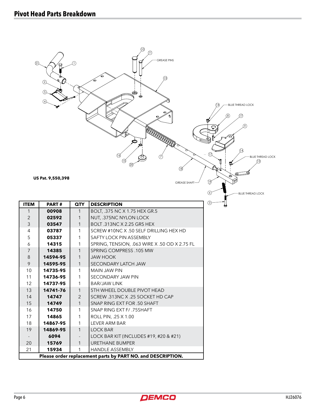| (21)           | $^{\circledR}$<br>(5)<br>④<br>US Pat. 9,550,398 |                | ൹<br>∩<br><b>GREASE PINS</b><br>(13)<br>ٰ<br>⊕<br>lEATA CHEA<br>皎<br>(15)<br>(20)<br>(18<br><b>GREASE SHAFT</b> | (14)<br><b>BLUE THREAD LOCK</b><br>⊛<br>(9)<br>Ç<br>I4<br>(17)<br><b>BLUE THREAD LOCK</b><br>(12)<br>o<br>Ф<br>T<br>(6)<br><b>BLUE THREAD LOCK</b> |
|----------------|-------------------------------------------------|----------------|-----------------------------------------------------------------------------------------------------------------|----------------------------------------------------------------------------------------------------------------------------------------------------|
| <b>ITEM</b>    | <b>PART#</b>                                    | <b>QTY</b>     | <b>DESCRIPTION</b>                                                                                              | ➀                                                                                                                                                  |
| 1              | 00908                                           | 1              | BOLT, .375 NC X 1.75 HEX GR.5                                                                                   |                                                                                                                                                    |
| 2              | 02592                                           | 1              | NUT, .375NC NYLON LOCK                                                                                          |                                                                                                                                                    |
| 3              | 03547                                           | 1              | BOLT .313NC X 2.25 GR5 HEX                                                                                      |                                                                                                                                                    |
| $\overline{4}$ | 03787                                           | 1              | SCREW #10NC X .50 SELF DRILLING HEX HD                                                                          |                                                                                                                                                    |
| 5              | 05337                                           | 1              | SAFTY LOCK PIN ASSEMBLY                                                                                         |                                                                                                                                                    |
| 6              | 14315                                           | 1              | SPRING, TENSION, .063 WIRE X .50 OD X 2.75 FL                                                                   |                                                                                                                                                    |
| 7              | 14385                                           | 1              | SPRING COMPRESS .105 MW                                                                                         |                                                                                                                                                    |
| 8              | 14594-95                                        | 1              | <b>JAW HOOK</b>                                                                                                 |                                                                                                                                                    |
| 9              | 14595-95                                        | 1              | SECONDARY LATCH JAW                                                                                             |                                                                                                                                                    |
| 10             | 14735-95                                        | 1              | <b>MAIN JAW PIN</b>                                                                                             |                                                                                                                                                    |
| 11             | 14736-95                                        |                | SECONDARY JAW PIN                                                                                               |                                                                                                                                                    |
| 12             | 14737-95                                        | 1              | <b>BAR/JAW LINK</b>                                                                                             |                                                                                                                                                    |
| 13             | 14741-76                                        | $\mathbf{1}$   | 5TH WHEEL DOUBLE PIVOT HEAD                                                                                     |                                                                                                                                                    |
| 14             | 14747                                           | $\overline{2}$ | SCREW .313NC X .25 SOCKET HD CAP                                                                                |                                                                                                                                                    |
| 15             | 14749                                           | $\mathbf{1}$   | SNAP RING EXT FOR .50 SHAFT                                                                                     |                                                                                                                                                    |
| 16             | 14750                                           | 1              | SNAP RING EXT F/ .75SHAFT                                                                                       |                                                                                                                                                    |
| 17             | 14865                                           | 1              | ROLL PIN, .25 X 1.00                                                                                            |                                                                                                                                                    |
| 18             | 14867-95                                        | 1              | LEVER ARM BAR                                                                                                   |                                                                                                                                                    |
| 19             | 14869-95                                        | $\mathbf{1}$   | <b>LOCK BAR</b>                                                                                                 |                                                                                                                                                    |
|                | 6094                                            |                | LOCK BAR KIT (INCLUDES #19, #20 & #21)                                                                          |                                                                                                                                                    |
| 20             | 15769                                           | 1              | URETHANE BUMPER                                                                                                 |                                                                                                                                                    |
| 21             | 15934                                           | 1              | <b>HANDLE ASSEMBLY</b>                                                                                          |                                                                                                                                                    |
|                |                                                 |                | Please order replacement parts by PART NO. and DESCRIPTION.                                                     |                                                                                                                                                    |

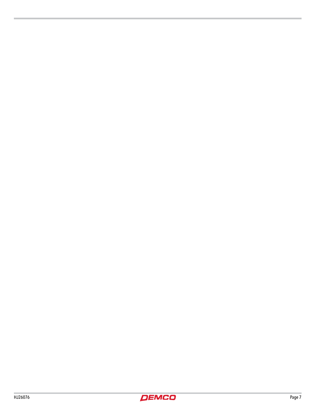